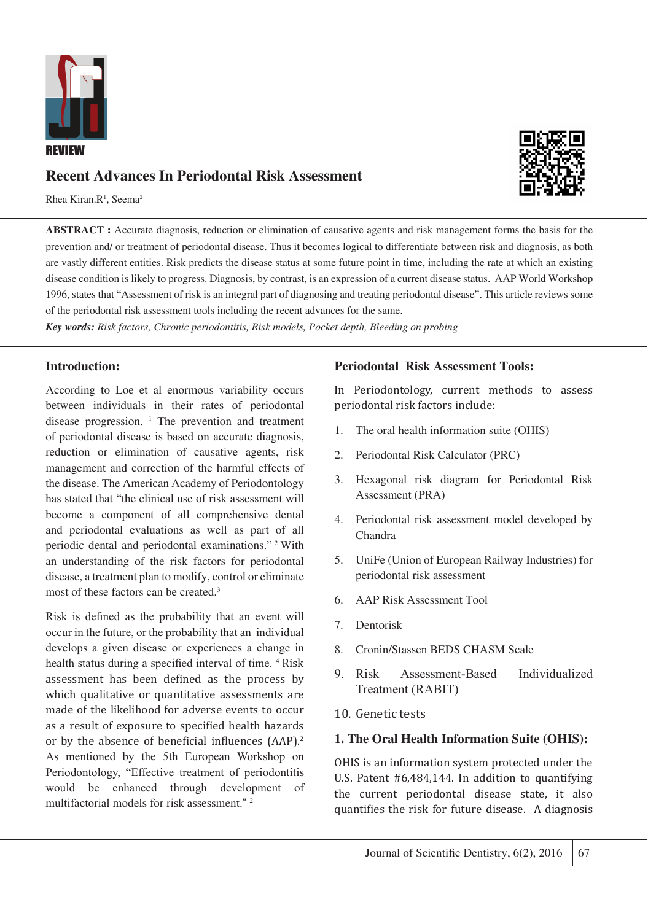

# **Recent Advances In Periodontal Risk Assessment**

Rhea Kiran.R<sup>1</sup>, Seema<sup>2</sup>



*Key words: Risk factors, Chronic periodontitis, Risk models, Pocket depth, Bleeding on probing*

### **Introduction:**

According to Loe et al enormous variability occurs between individuals in their rates of periodontal disease progression. <sup>1</sup> The prevention and treatment of periodontal disease is based on accurate diagnosis, reduction or elimination of causative agents, risk management and correction of the harmful effects of the disease. The American Academy of Periodontology has stated that "the clinical use of risk assessment will become a component of all comprehensive dental and periodontal evaluations as well as part of all periodic dental and periodontal examinations." 2 With an understanding of the risk factors for periodontal disease, a treatment plan to modify, control or eliminate most of these factors can be created.3

Risk is defined as the probability that an event will occur in the future, or the probability that an individual develops a given disease or experiences a change in health status during a specified interval of time. <sup>4</sup> Risk assessment has been defined as the process by which qualitative or quantitative assessments are made of the likelihood for adverse events to occur as a result of exposure to specified health hazards or by the absence of beneficial influences (AAP).<sup>2</sup> As mentioned by the 5th European Workshop on Periodontology, "Effective treatment of periodontitis would be enhanced through development of multifactorial models for risk assessment." <sup>2</sup>

#### **Periodontal Risk Assessment Tools:**

In Periodontology, current methods to assess periodontal risk factors include:

- The oral health information suite (OHIS)
- 2. Periodontal Risk Calculator (PRC)
- 3. Hexagonal risk diagram for Periodontal Risk Assessment (PRA)
- 4. Periodontal risk assessment model developed by Chandra
- 5. UniFe (Union of European Railway Industries) for periodontal risk assessment
- 6. AAP Risk Assessment Tool
- 7. Dentorisk
- 8. Cronin/Stassen BEDS CHASM Scale
- 9. Risk Assessment-Based Individualized Treatment (RABIT)
- 10. Genetic tests

#### **1. The Oral Health Information Suite (OHIS):**

OHIS is an information system protected under the U.S. Patent #6,484,144. In addition to quantifying the current periodontal disease state, it also quantifies the risk for future disease. A diagnosis

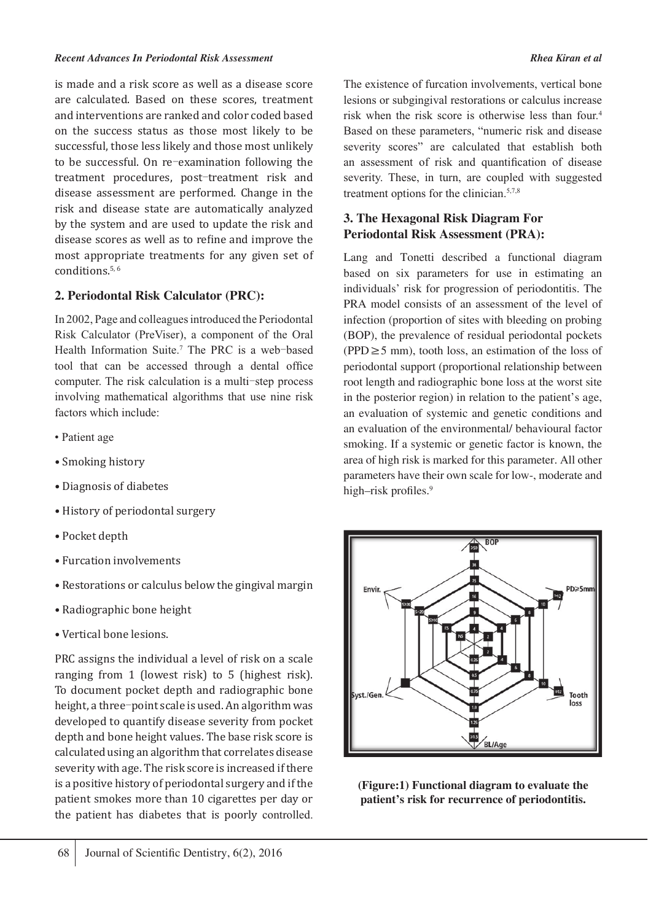is made and a risk score as well as a disease score are calculated. Based on these scores, treatment and interventions are ranked and color coded based on the success status as those most likely to be successful, those less likely and those most unlikely to be successful. On re‑examination following the treatment procedures, post-treatment risk and disease assessment are performed. Change in the risk and disease state are automatically analyzed by the system and are used to update the risk and disease scores as well as to refine and improve the most appropriate treatments for any given set of conditions.5, 6

### **2. Periodontal Risk Calculator (PRC):**

In 2002, Page and colleagues introduced the Periodontal Risk Calculator (PreViser), a component of the Oral Health Information Suite.<sup>7</sup> The PRC is a web-based tool that can be accessed through a dental office computer. The risk calculation is a multi–step process involving mathematical algorithms that use nine risk factors which include:

- Patient age
- Smoking history
- Diagnosis of diabetes
- History of periodontal surgery
- Pocket depth
- Furcation involvements
- Restorations or calculus below the gingival margin
- Radiographic bone height
- Vertical bone lesions.

PRC assigns the individual a level of risk on a scale ranging from 1 (lowest risk) to 5 (highest risk). To document pocket depth and radiographic bone height, a three-point scale is used. An algorithm was developed to quantify disease severity from pocket depth and bone height values. The base risk score is calculated using an algorithm that correlates disease severity with age. The risk score is increased if there is a positive history of periodontal surgery and if the patient smokes more than 10 cigarettes per day or the patient has diabetes that is poorly controlled. The existence of furcation involvements, vertical bone lesions or subgingival restorations or calculus increase risk when the risk score is otherwise less than four.4 Based on these parameters, "numeric risk and disease severity scores" are calculated that establish both an assessment of risk and quantification of disease severity. These, in turn, are coupled with suggested treatment options for the clinician.<sup>5,7,8</sup>

## **3. The Hexagonal Risk Diagram For Periodontal Risk Assessment (PRA):**

Lang and Tonetti described a functional diagram based on six parameters for use in estimating an individuals' risk for progression of periodontitis. The PRA model consists of an assessment of the level of infection (proportion of sites with bleeding on probing (BOP), the prevalence of residual periodontal pockets (PPD≥5 mm), tooth loss, an estimation of the loss of periodontal support (proportional relationship between root length and radiographic bone loss at the worst site in the posterior region) in relation to the patient's age, an evaluation of systemic and genetic conditions and an evaluation of the environmental/ behavioural factor smoking. If a systemic or genetic factor is known, the area of high risk is marked for this parameter. All other parameters have their own scale for low-, moderate and high–risk profiles.<sup>9</sup>



**(Figure:1) Functional diagram to evaluate the patient's risk for recurrence of periodontitis.**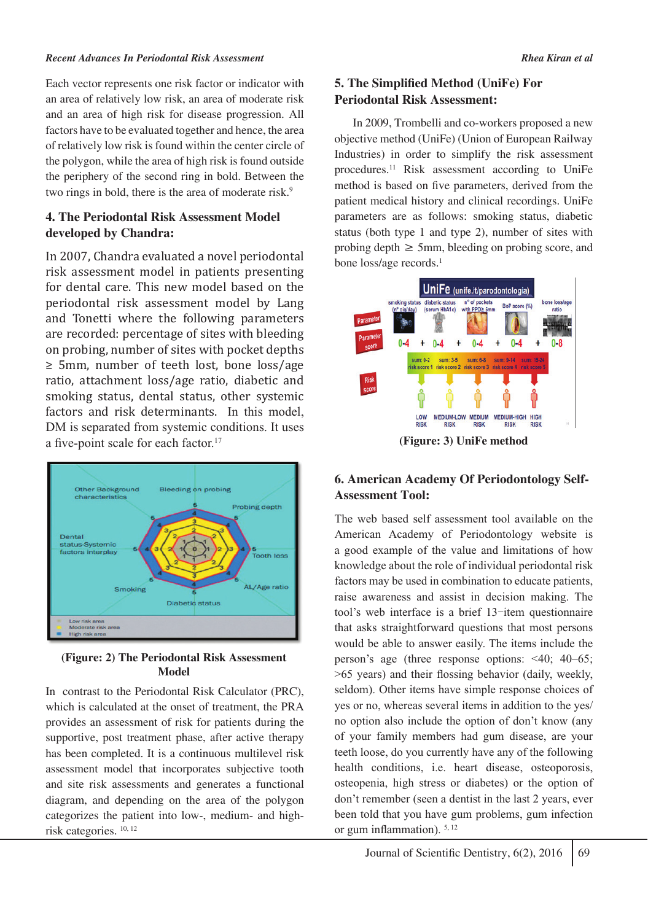#### *Recent Advances In Periodontal Risk Assessment Rhea Kiran et al*

Each vector represents one risk factor or indicator with an area of relatively low risk, an area of moderate risk and an area of high risk for disease progression. All factors have to be evaluated together and hence, the area of relatively low risk is found within the center circle of the polygon, while the area of high risk is found outside the periphery of the second ring in bold. Between the two rings in bold, there is the area of moderate risk.<sup>9</sup>

### **4. The Periodontal Risk Assessment Model developed by Chandra:**

In 2007, Chandra evaluated a novel periodontal risk assessment model in patients presenting for dental care. This new model based on the periodontal risk assessment model by Lang and Tonetti where the following parameters are recorded: percentage of sites with bleeding on probing, number of sites with pocket depths ≥ 5mm, number of teeth lost, bone loss/age ratio, attachment loss/age ratio, diabetic and smoking status, dental status, other systemic factors and risk determinants. In this model, DM is separated from systemic conditions. It uses a five-point scale for each factor.<sup>17</sup>

![](_page_2_Figure_5.jpeg)

#### **(Figure: 2) The Periodontal Risk Assessment Model**

In contrast to the Periodontal Risk Calculator (PRC), which is calculated at the onset of treatment, the PRA provides an assessment of risk for patients during the supportive, post treatment phase, after active therapy has been completed. It is a continuous multilevel risk assessment model that incorporates subjective tooth and site risk assessments and generates a functional diagram, and depending on the area of the polygon categorizes the patient into low-, medium- and highrisk categories. 10, 12

## **5. The Simplified Method (UniFe) For Periodontal Risk Assessment:**

 In 2009, Trombelli and co-workers proposed a new objective method (UniFe) (Union of European Railway Industries) in order to simplify the risk assessment procedures.11 Risk assessment according to UniFe method is based on five parameters, derived from the patient medical history and clinical recordings. UniFe parameters are as follows: smoking status, diabetic status (both type 1 and type 2), number of sites with probing depth  $\geq$  5mm, bleeding on probing score, and bone loss/age records.<sup>1</sup>

![](_page_2_Figure_10.jpeg)

## **6. American Academy Of Periodontology Self-Assessment Tool:**

The web based self assessment tool available on the American Academy of Periodontology website is a good example of the value and limitations of how knowledge about the role of individual periodontal risk factors may be used in combination to educate patients, raise awareness and assist in decision making. The tool's web interface is a brief 13‑item questionnaire that asks straightforward questions that most persons would be able to answer easily. The items include the person's age (three response options: <40; 40–65; >65 years) and their flossing behavior (daily, weekly, seldom). Other items have simple response choices of yes or no, whereas several items in addition to the yes/ no option also include the option of don't know (any of your family members had gum disease, are your teeth loose, do you currently have any of the following health conditions, i.e. heart disease, osteoporosis, osteopenia, high stress or diabetes) or the option of don't remember (seen a dentist in the last 2 years, ever been told that you have gum problems, gum infection or gum inflammation). 5, 12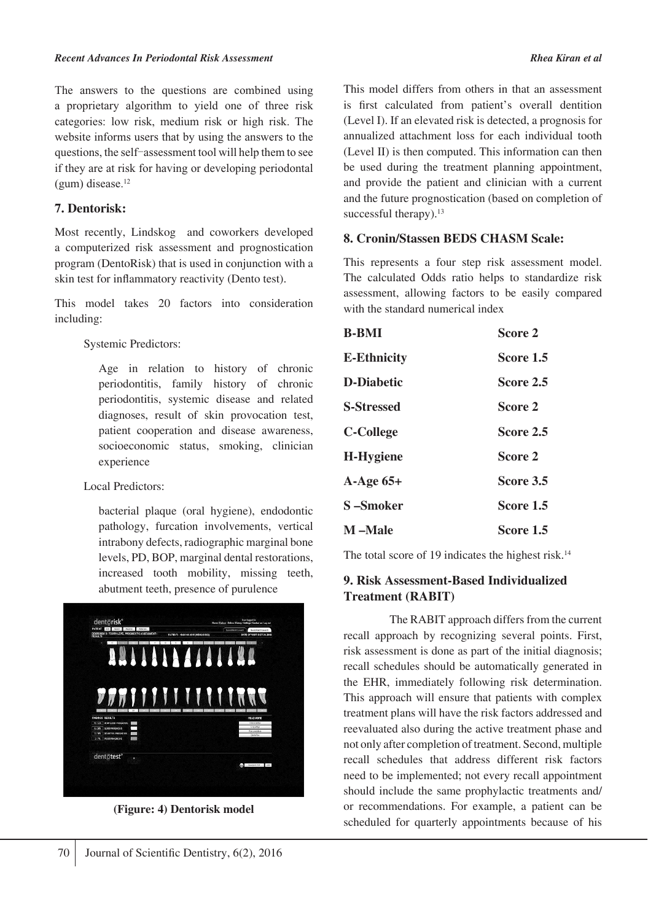The answers to the questions are combined using a proprietary algorithm to yield one of three risk categories: low risk, medium risk or high risk. The website informs users that by using the answers to the questions, the self‑assessment tool will help them to see if they are at risk for having or developing periodontal  $(gum)$  disease.<sup>12</sup>

#### **7. Dentorisk:**

Most recently, Lindskog and coworkers developed a computerized risk assessment and prognostication program (DentoRisk) that is used in conjunction with a skin test for inflammatory reactivity (Dento test).

This model takes 20 factors into consideration including:

Systemic Predictors:

Age in relation to history of chronic periodontitis, family history of chronic periodontitis, systemic disease and related diagnoses, result of skin provocation test, patient cooperation and disease awareness, socioeconomic status, smoking, clinician experience

Local Predictors:

bacterial plaque (oral hygiene), endodontic pathology, furcation involvements, vertical intrabony defects, radiographic marginal bone levels, PD, BOP, marginal dental restorations, increased tooth mobility, missing teeth, abutment teeth, presence of purulence

![](_page_3_Picture_10.jpeg)

**(Figure: 4) Dentorisk model**

This model differs from others in that an assessment is first calculated from patient's overall dentition (Level I). If an elevated risk is detected, a prognosis for annualized attachment loss for each individual tooth (Level II) is then computed. This information can then be used during the treatment planning appointment, and provide the patient and clinician with a current and the future prognostication (based on completion of successful therapy).<sup>13</sup>

### **8. Cronin/Stassen BEDS CHASM Scale:**

This represents a four step risk assessment model. The calculated Odds ratio helps to standardize risk assessment, allowing factors to be easily compared with the standard numerical index

| <b>B-BMI</b>       | Score 2          |
|--------------------|------------------|
| <b>E-Ethnicity</b> | <b>Score 1.5</b> |
| <b>D-Diabetic</b>  | Score 2.5        |
| <b>S-Stressed</b>  | Score 2          |
| <b>C-College</b>   | Score 2.5        |
| <b>H-Hygiene</b>   | Score 2          |
| $A-Age 65+$        | Score 3.5        |
| S-Smoker           | Score 1.5        |
| <b>M</b> -Male     | Score 1.5        |

The total score of 19 indicates the highest risk.<sup>14</sup>

### **9. Risk Assessment-Based Individualized Treatment (RABIT)**

 The RABIT approach differs from the current recall approach by recognizing several points. First, risk assessment is done as part of the initial diagnosis; recall schedules should be automatically generated in the EHR, immediately following risk determination. This approach will ensure that patients with complex treatment plans will have the risk factors addressed and reevaluated also during the active treatment phase and not only after completion of treatment. Second, multiple recall schedules that address different risk factors need to be implemented; not every recall appointment should include the same prophylactic treatments and/ or recommendations. For example, a patient can be scheduled for quarterly appointments because of his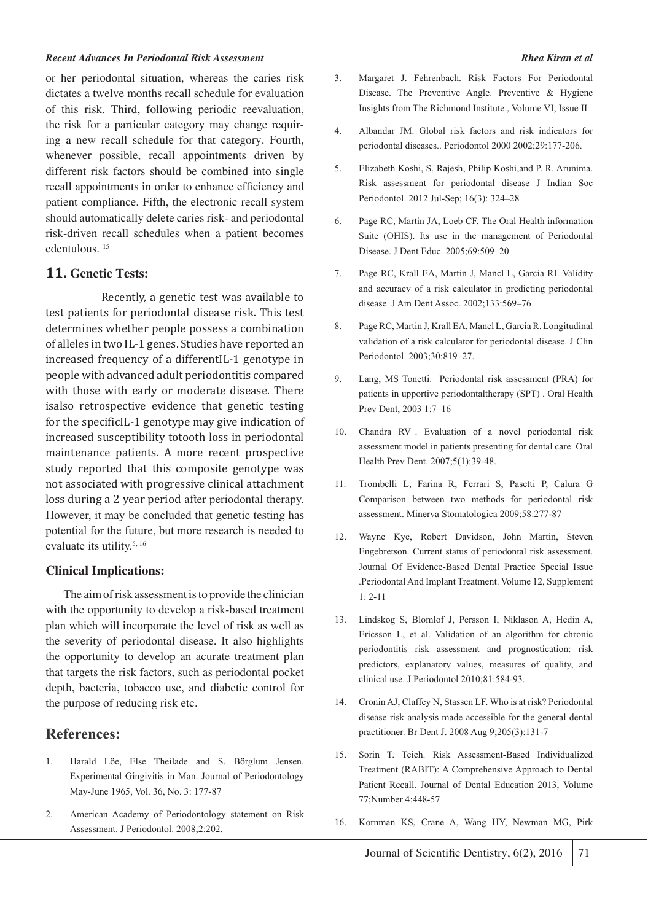#### *Recent Advances In Periodontal Risk Assessment Rhea Kiran et al*

or her periodontal situation, whereas the caries risk dictates a twelve months recall schedule for evaluation of this risk. Third, following periodic reevaluation, the risk for a particular category may change requiring a new recall schedule for that category. Fourth, whenever possible, recall appointments driven by different risk factors should be combined into single recall appointments in order to enhance efficiency and patient compliance. Fifth, the electronic recall system should automatically delete caries risk- and periodontal risk-driven recall schedules when a patient becomes edentulous. 15

#### **11. Genetic Tests:**

 Recently, a genetic test was available to test patients for periodontal disease risk. This test determines whether people possess a combination of alleles in two IL-1 genes. Studies have reported an increased frequency of a differentIL-1 genotype in people with advanced adult periodontitis compared with those with early or moderate disease. There isalso retrospective evidence that genetic testing for the specificIL-1 genotype may give indication of increased susceptibility totooth loss in periodontal maintenance patients. A more recent prospective study reported that this composite genotype was not associated with progressive clinical attachment loss during a 2 year period after periodontal therapy. However, it may be concluded that genetic testing has potential for the future, but more research is needed to evaluate its utility.<sup>5, 16</sup>

#### **Clinical Implications:**

 The aim of risk assessment is to provide the clinician with the opportunity to develop a risk-based treatment plan which will incorporate the level of risk as well as the severity of periodontal disease. It also highlights the opportunity to develop an acurate treatment plan that targets the risk factors, such as periodontal pocket depth, bacteria, tobacco use, and diabetic control for the purpose of reducing risk etc.

### **References:**

- 1. Harald Löe, Else Theilade and S. Börglum Jensen. Experimental Gingivitis in Man. Journal of Periodontology May-June 1965, Vol. 36, No. 3: 177-87
- 2. American Academy of Periodontology statement on Risk Assessment. J Periodontol. 2008;2:202.
- 3. Margaret J. Fehrenbach. Risk Factors For Periodontal Disease. The Preventive Angle. Preventive & Hygiene Insights from The Richmond Institute., Volume VI, Issue II
- 4. Albandar JM. Global risk factors and risk indicators for periodontal diseases.. Periodontol 2000 2002;29:177-206.
- 5. Elizabeth Koshi, S. Rajesh, Philip Koshi,and P. R. Arunima. Risk assessment for periodontal disease J Indian Soc Periodontol. 2012 Jul-Sep; 16(3): 324–28
- 6. Page RC, Martin JA, Loeb CF. The Oral Health information Suite (OHIS). Its use in the management of Periodontal Disease. J Dent Educ. 2005;69:509–20
- 7. Page RC, Krall EA, Martin J, Mancl L, Garcia RI. Validity and accuracy of a risk calculator in predicting periodontal disease. J Am Dent Assoc. 2002;133:569–76
- 8. Page RC, Martin J, Krall EA, Mancl L, Garcia R. Longitudinal validation of a risk calculator for periodontal disease. J Clin Periodontol. 2003;30:819–27.
- 9. Lang, MS Tonetti. Periodontal risk assessment (PRA) for patients in upportive periodontaltherapy (SPT) . Oral Health Prev Dent, 2003 1:7–16
- 10. Chandra RV . Evaluation of a novel periodontal risk assessment model in patients presenting for dental care. Oral Health Prev Dent. 2007;5(1):39-48.
- 11. Trombelli L, Farina R, Ferrari S, Pasetti P, Calura G Comparison between two methods for periodontal risk assessment. Minerva Stomatologica 2009;58:277-87
- 12. Wayne Kye, Robert Davidson, John Martin, Steven Engebretson. Current status of periodontal risk assessment. Journal Of Evidence-Based Dental Practice Special Issue .Periodontal And Implant Treatment. Volume 12, Supplement 1: 2-11
- 13. Lindskog S, Blomlof J, Persson I, Niklason A, Hedin A, Ericsson L, et al. Validation of an algorithm for chronic periodontitis risk assessment and prognostication: risk predictors, explanatory values, measures of quality, and clinical use. J Periodontol 2010;81:584-93.
- 14. Cronin AJ, Claffey N, Stassen LF. Who is at risk? Periodontal disease risk analysis made accessible for the general dental practitioner. Br Dent J. 2008 Aug 9;205(3):131-7
- 15. Sorin T. Teich. Risk Assessment-Based Individualized Treatment (RABIT): A Comprehensive Approach to Dental Patient Recall. Journal of Dental Education 2013, Volume 77;Number 4:448-57
- 16. Kornman KS, Crane A, Wang HY, Newman MG, Pirk